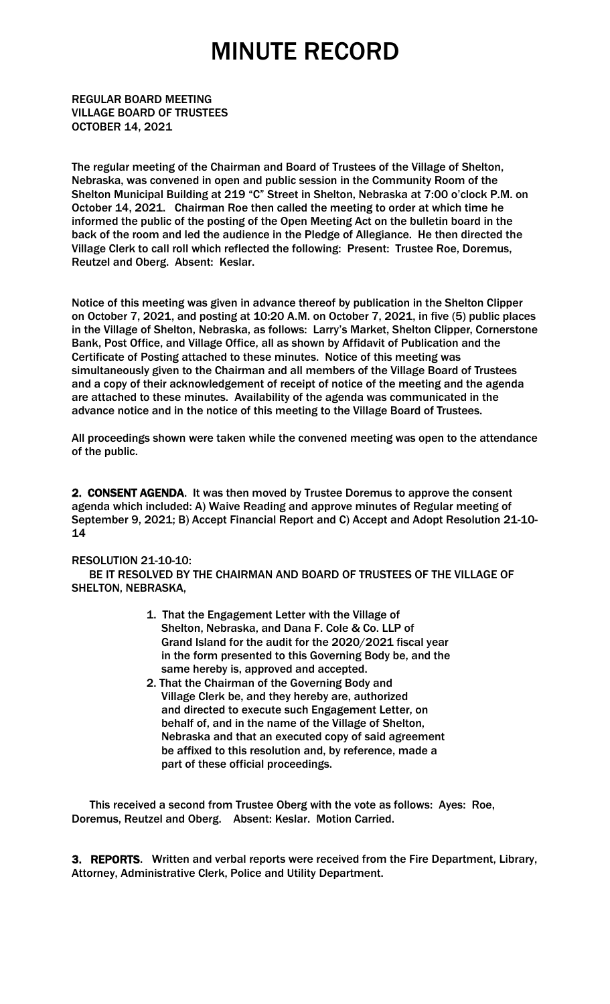REGULAR BOARD MEETING VILLAGE BOARD OF TRUSTEES OCTOBER 14, 2021

The regular meeting of the Chairman and Board of Trustees of the Village of Shelton, Nebraska, was convened in open and public session in the Community Room of the Shelton Municipal Building at 219 "C" Street in Shelton, Nebraska at 7:00 o'clock P.M. on October 14, 2021. Chairman Roe then called the meeting to order at which time he informed the public of the posting of the Open Meeting Act on the bulletin board in the back of the room and led the audience in the Pledge of Allegiance. He then directed the Village Clerk to call roll which reflected the following: Present: Trustee Roe, Doremus, Reutzel and Oberg. Absent: Keslar.

Notice of this meeting was given in advance thereof by publication in the Shelton Clipper on October 7, 2021, and posting at 10:20 A.M. on October 7, 2021, in five (5) public places in the Village of Shelton, Nebraska, as follows: Larry's Market, Shelton Clipper, Cornerstone Bank, Post Office, and Village Office, all as shown by Affidavit of Publication and the Certificate of Posting attached to these minutes. Notice of this meeting was simultaneously given to the Chairman and all members of the Village Board of Trustees and a copy of their acknowledgement of receipt of notice of the meeting and the agenda are attached to these minutes. Availability of the agenda was communicated in the advance notice and in the notice of this meeting to the Village Board of Trustees.

All proceedings shown were taken while the convened meeting was open to the attendance of the public.

2. CONSENT AGENDA. It was then moved by Trustee Doremus to approve the consent agenda which included: A) Waive Reading and approve minutes of Regular meeting of September 9, 2021; B) Accept Financial Report and C) Accept and Adopt Resolution 21-10- 14

#### RESOLUTION 21-10-10:

 BE IT RESOLVED BY THE CHAIRMAN AND BOARD OF TRUSTEES OF THE VILLAGE OF SHELTON, NEBRASKA,

- 1. That the Engagement Letter with the Village of Shelton, Nebraska, and Dana F. Cole & Co. LLP of Grand Island for the audit for the 2020/2021 fiscal year in the form presented to this Governing Body be, and the same hereby is, approved and accepted.
- 2. That the Chairman of the Governing Body and Village Clerk be, and they hereby are, authorized and directed to execute such Engagement Letter, on behalf of, and in the name of the Village of Shelton, Nebraska and that an executed copy of said agreement be affixed to this resolution and, by reference, made a part of these official proceedings.

 This received a second from Trustee Oberg with the vote as follows: Ayes: Roe, Doremus, Reutzel and Oberg. Absent: Keslar. Motion Carried.

3. REPORTS. Written and verbal reports were received from the Fire Department, Library, Attorney, Administrative Clerk, Police and Utility Department.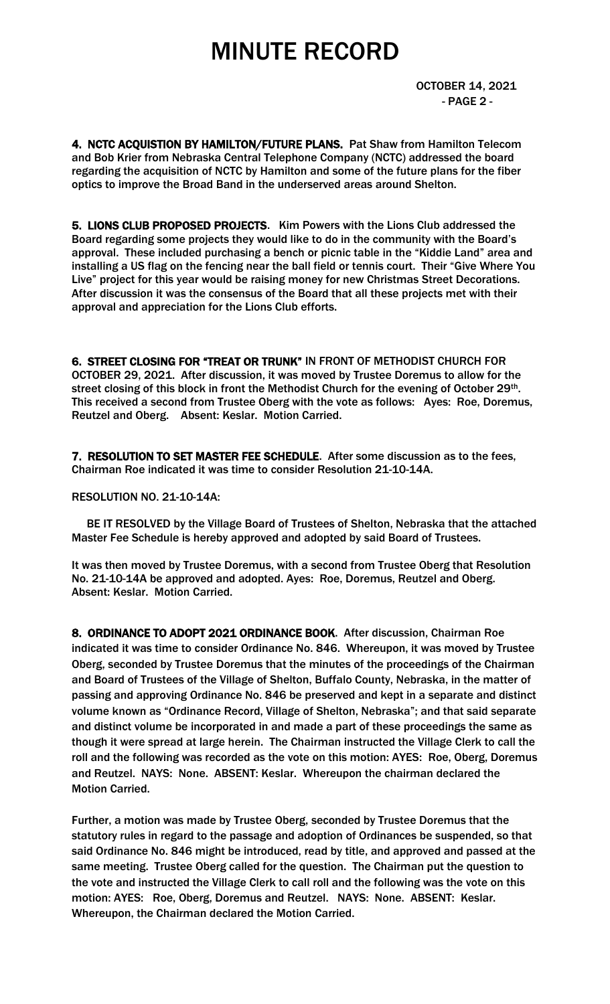OCTOBER 14, 2021 - PAGE 2 -

4. NCTC ACQUISTION BY HAMILTON/FUTURE PLANS. Pat Shaw from Hamilton Telecom and Bob Krier from Nebraska Central Telephone Company (NCTC) addressed the board regarding the acquisition of NCTC by Hamilton and some of the future plans for the fiber optics to improve the Broad Band in the underserved areas around Shelton.

5. LIONS CLUB PROPOSED PROJECTS. Kim Powers with the Lions Club addressed the Board regarding some projects they would like to do in the community with the Board's approval. These included purchasing a bench or picnic table in the "Kiddie Land" area and installing a US flag on the fencing near the ball field or tennis court. Their "Give Where You Live" project for this year would be raising money for new Christmas Street Decorations. After discussion it was the consensus of the Board that all these projects met with their approval and appreciation for the Lions Club efforts.

6. STREET CLOSING FOR "TREAT OR TRUNK" IN FRONT OF METHODIST CHURCH FOR OCTOBER 29, 2021. After discussion, it was moved by Trustee Doremus to allow for the street closing of this block in front the Methodist Church for the evening of October 29<sup>th</sup>. This received a second from Trustee Oberg with the vote as follows: Ayes: Roe, Doremus, Reutzel and Oberg. Absent: Keslar. Motion Carried.

7. RESOLUTION TO SET MASTER FEE SCHEDULE. After some discussion as to the fees, Chairman Roe indicated it was time to consider Resolution 21-10-14A.

RESOLUTION NO. 21-10-14A:

 BE IT RESOLVED by the Village Board of Trustees of Shelton, Nebraska that the attached Master Fee Schedule is hereby approved and adopted by said Board of Trustees.

It was then moved by Trustee Doremus, with a second from Trustee Oberg that Resolution No. 21-10-14A be approved and adopted. Ayes: Roe, Doremus, Reutzel and Oberg. Absent: Keslar. Motion Carried.

8. ORDINANCE TO ADOPT 2021 ORDINANCE BOOK. After discussion, Chairman Roe indicated it was time to consider Ordinance No. 846. Whereupon, it was moved by Trustee Oberg, seconded by Trustee Doremus that the minutes of the proceedings of the Chairman and Board of Trustees of the Village of Shelton, Buffalo County, Nebraska, in the matter of passing and approving Ordinance No. 846 be preserved and kept in a separate and distinct volume known as "Ordinance Record, Village of Shelton, Nebraska"; and that said separate and distinct volume be incorporated in and made a part of these proceedings the same as though it were spread at large herein. The Chairman instructed the Village Clerk to call the roll and the following was recorded as the vote on this motion: AYES: Roe, Oberg, Doremus and Reutzel. NAYS: None. ABSENT: Keslar. Whereupon the chairman declared the Motion Carried.

Further, a motion was made by Trustee Oberg, seconded by Trustee Doremus that the statutory rules in regard to the passage and adoption of Ordinances be suspended, so that said Ordinance No. 846 might be introduced, read by title, and approved and passed at the same meeting. Trustee Oberg called for the question. The Chairman put the question to the vote and instructed the Village Clerk to call roll and the following was the vote on this motion: AYES: Roe, Oberg, Doremus and Reutzel. NAYS: None. ABSENT: Keslar. Whereupon, the Chairman declared the Motion Carried.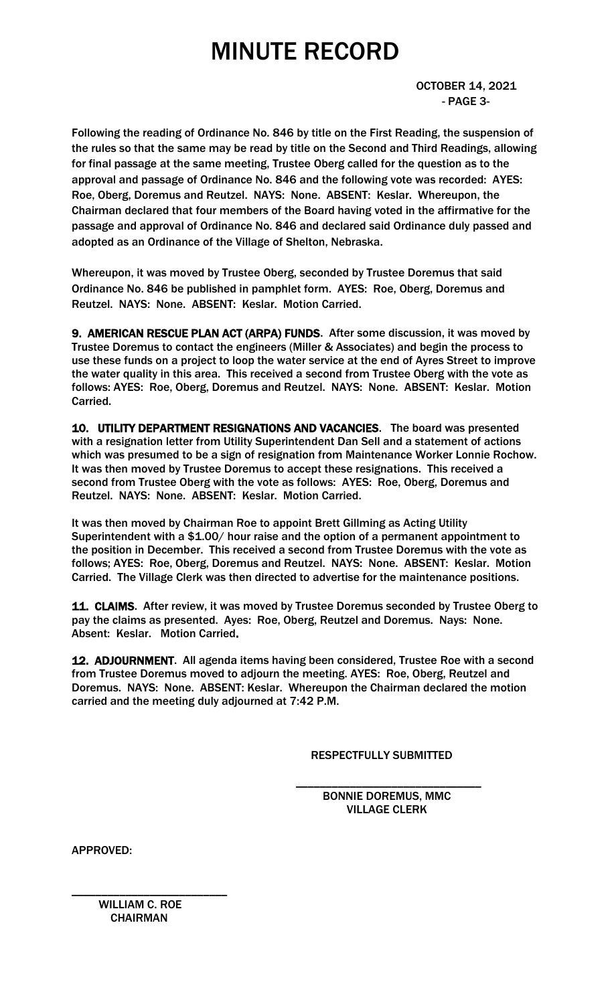OCTOBER 14, 2021 - PAGE 3-

Following the reading of Ordinance No. 846 by title on the First Reading, the suspension of the rules so that the same may be read by title on the Second and Third Readings, allowing for final passage at the same meeting, Trustee Oberg called for the question as to the approval and passage of Ordinance No. 846 and the following vote was recorded: AYES: Roe, Oberg, Doremus and Reutzel. NAYS: None. ABSENT: Keslar. Whereupon, the Chairman declared that four members of the Board having voted in the affirmative for the passage and approval of Ordinance No. 846 and declared said Ordinance duly passed and adopted as an Ordinance of the Village of Shelton, Nebraska.

Whereupon, it was moved by Trustee Oberg, seconded by Trustee Doremus that said Ordinance No. 846 be published in pamphlet form. AYES: Roe, Oberg, Doremus and Reutzel. NAYS: None. ABSENT: Keslar. Motion Carried.

9. AMERICAN RESCUE PLAN ACT (ARPA) FUNDS. After some discussion, it was moved by Trustee Doremus to contact the engineers (Miller & Associates) and begin the process to use these funds on a project to loop the water service at the end of Ayres Street to improve the water quality in this area. This received a second from Trustee Oberg with the vote as follows: AYES: Roe, Oberg, Doremus and Reutzel. NAYS: None. ABSENT: Keslar. Motion Carried.

10. UTILITY DEPARTMENT RESIGNATIONS AND VACANCIES. The board was presented with a resignation letter from Utility Superintendent Dan Sell and a statement of actions which was presumed to be a sign of resignation from Maintenance Worker Lonnie Rochow. It was then moved by Trustee Doremus to accept these resignations. This received a second from Trustee Oberg with the vote as follows: AYES: Roe, Oberg, Doremus and Reutzel. NAYS: None. ABSENT: Keslar. Motion Carried.

It was then moved by Chairman Roe to appoint Brett Gillming as Acting Utility Superintendent with a \$1.00/ hour raise and the option of a permanent appointment to the position in December. This received a second from Trustee Doremus with the vote as follows; AYES: Roe, Oberg, Doremus and Reutzel. NAYS: None. ABSENT: Keslar. Motion Carried. The Village Clerk was then directed to advertise for the maintenance positions.

11. CLAIMS. After review, it was moved by Trustee Doremus seconded by Trustee Oberg to pay the claims as presented. Ayes: Roe, Oberg, Reutzel and Doremus. Nays: None. Absent: Keslar. Motion Carried.

12. ADJOURNMENT. All agenda items having been considered, Trustee Roe with a second from Trustee Doremus moved to adjourn the meeting. AYES: Roe, Oberg, Reutzel and Doremus. NAYS: None. ABSENT: Keslar. Whereupon the Chairman declared the motion carried and the meeting duly adjourned at 7:42 P.M.

 $\overline{\phantom{a}}$  , and the contract of the contract of the contract of the contract of the contract of the contract of the contract of the contract of the contract of the contract of the contract of the contract of the contrac

RESPECTFULLY SUBMITTED

 BONNIE DOREMUS, MMC VILLAGE CLERK

APPROVED:

\_\_\_\_\_\_\_\_\_\_\_\_\_\_\_\_\_\_\_\_\_\_\_\_\_\_ WILLIAM C. ROE **CHAIRMAN**